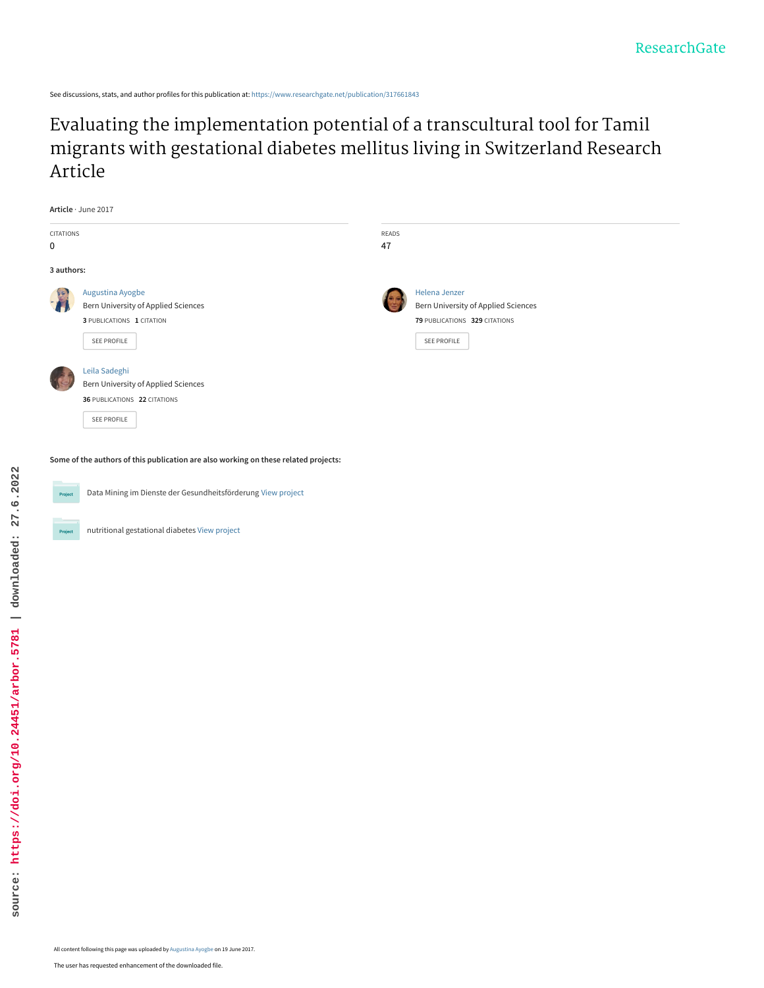See discussions, stats, and author profiles for this publication at: [https://www.researchgate.net/publication/317661843](https://www.researchgate.net/publication/317661843_Evaluating_the_implementation_potential_of_a_transcultural_tool_for_Tamil_migrants_with_gestational_diabetes_mellitus_living_in_Switzerland_Research_Article?enrichId=rgreq-d29f0bf177ae692e75c56a3287bfb128-XXX&enrichSource=Y292ZXJQYWdlOzMxNzY2MTg0MztBUzo1MDY5MTQ1ODI0MDUxMjBAMTQ5Nzg2OTI2MjUzNA%3D%3D&el=1_x_2&_esc=publicationCoverPdf)

Evaluating the implementation potential of a transcultural tool for Tamil [migrants with gestational diabetes mellitus living in Switzerland Research](https://www.researchgate.net/publication/317661843_Evaluating_the_implementation_potential_of_a_transcultural_tool_for_Tamil_migrants_with_gestational_diabetes_mellitus_living_in_Switzerland_Research_Article?enrichId=rgreq-d29f0bf177ae692e75c56a3287bfb128-XXX&enrichSource=Y292ZXJQYWdlOzMxNzY2MTg0MztBUzo1MDY5MTQ1ODI0MDUxMjBAMTQ5Nzg2OTI2MjUzNA%3D%3D&el=1_x_3&_esc=publicationCoverPdf) Article

|                     | Article · June 2017                                                                                 |       |                                                                                                      |  |
|---------------------|-----------------------------------------------------------------------------------------------------|-------|------------------------------------------------------------------------------------------------------|--|
| CITATIONS           |                                                                                                     | READS |                                                                                                      |  |
| $\mathbf 0$         |                                                                                                     | 47    |                                                                                                      |  |
| 3 authors:          |                                                                                                     |       |                                                                                                      |  |
| E<br>$\overline{a}$ | Augustina Ayogbe<br>Bern University of Applied Sciences<br>3 PUBLICATIONS 1 CITATION<br>SEE PROFILE |       | Helena Jenzer<br>Bern University of Applied Sciences<br>79 PUBLICATIONS 329 CITATIONS<br>SEE PROFILE |  |
|                     | Leila Sadeghi<br>Bern University of Applied Sciences<br>36 PUBLICATIONS 22 CITATIONS<br>SEE PROFILE |       |                                                                                                      |  |

**Some of the authors of this publication are also working on these related projects:**



Data Mining im Dienste der Gesundheitsförderung [View project](https://www.researchgate.net/project/Data-Mining-im-Dienste-der-Gesundheitsfoerderung?enrichId=rgreq-d29f0bf177ae692e75c56a3287bfb128-XXX&enrichSource=Y292ZXJQYWdlOzMxNzY2MTg0MztBUzo1MDY5MTQ1ODI0MDUxMjBAMTQ5Nzg2OTI2MjUzNA%3D%3D&el=1_x_9&_esc=publicationCoverPdf) Project

nutritional gestational diabetes [View project](https://www.researchgate.net/project/nutritional-gestational-diabetes?enrichId=rgreq-d29f0bf177ae692e75c56a3287bfb128-XXX&enrichSource=Y292ZXJQYWdlOzMxNzY2MTg0MztBUzo1MDY5MTQ1ODI0MDUxMjBAMTQ5Nzg2OTI2MjUzNA%3D%3D&el=1_x_9&_esc=publicationCoverPdf) Project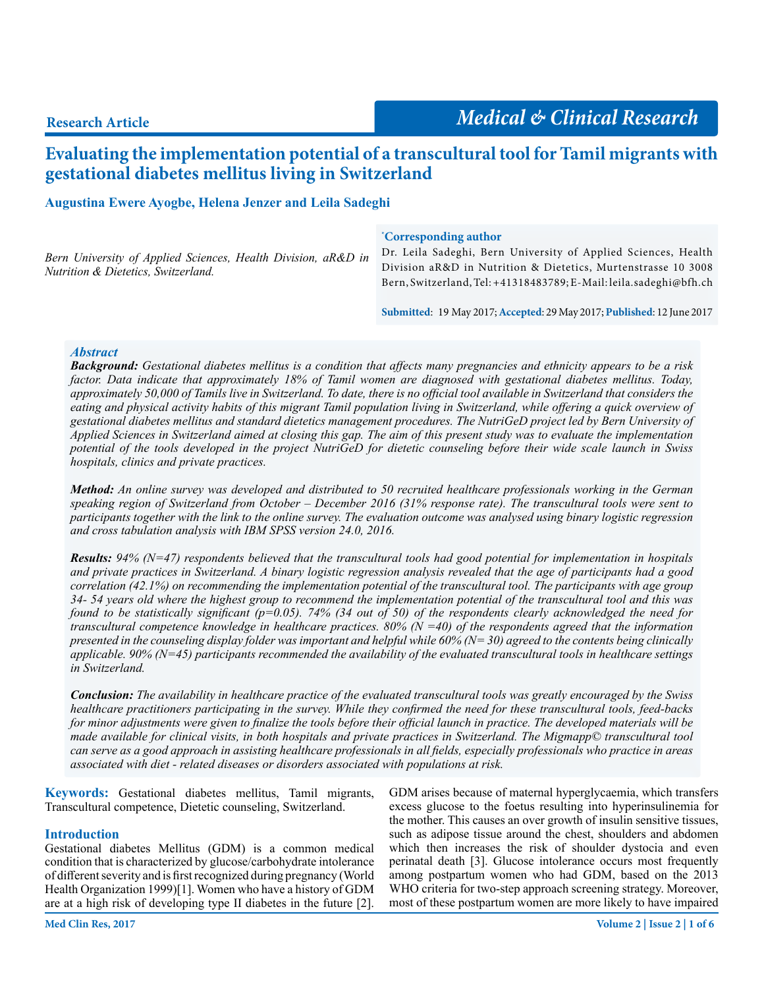# **Evaluating the implementation potential of a transcultural tool for Tamil migrants with gestational diabetes mellitus living in Switzerland**

# **Augustina Ewere Ayogbe, Helena Jenzer and Leila Sadeghi**

|                                                               | <i>Corresponding author</i>                                         |
|---------------------------------------------------------------|---------------------------------------------------------------------|
| Bern University of Applied Sciences, Health Division, aR&D in | Dr. Leila Sadeghi, Bern University of Applied Sciences, Health      |
| <i>Nutrition &amp; Dietetics, Switzerland.</i>                | Division aR&D in Nutrition & Dietetics, Murtenstrasse 10 3008       |
|                                                               | Bern, Switzerland, Tel: +41318483789; E-Mail: leila. sadeghi@bfh.ch |

**Submitted**: 19 May 2017; **Accepted**: 29 May 2017; **Published**: 12 June 2017

#### *Abstract*

*Background: Gestational diabetes mellitus is a condition that affects many pregnancies and ethnicity appears to be a risk factor. Data indicate that approximately 18% of Tamil women are diagnosed with gestational diabetes mellitus. Today, approximately 50,000 of Tamils live in Switzerland. To date, there is no official tool available in Switzerland that considers the eating and physical activity habits of this migrant Tamil population living in Switzerland, while offering a quick overview of gestational diabetes mellitus and standard dietetics management procedures. The NutriGeD project led by Bern University of Applied Sciences in Switzerland aimed at closing this gap. The aim of this present study was to evaluate the implementation potential of the tools developed in the project NutriGeD for dietetic counseling before their wide scale launch in Swiss hospitals, clinics and private practices.*

*Method: An online survey was developed and distributed to 50 recruited healthcare professionals working in the German speaking region of Switzerland from October – December 2016 (31% response rate). The transcultural tools were sent to participants together with the link to the online survey. The evaluation outcome was analysed using binary logistic regression and cross tabulation analysis with IBM SPSS version 24.0, 2016.*

*Results: 94% (N=47) respondents believed that the transcultural tools had good potential for implementation in hospitals and private practices in Switzerland. A binary logistic regression analysis revealed that the age of participants had a good correlation (42.1%) on recommending the implementation potential of the transcultural tool. The participants with age group 34- 54 years old where the highest group to recommend the implementation potential of the transcultural tool and this was found to be statistically significant (p=0.05). 74% (34 out of 50) of the respondents clearly acknowledged the need for transcultural competence knowledge in healthcare practices. 80% (* $\dot{N}$  *=40) of the respondents agreed that the information presented in the counseling display folder was important and helpful while 60% (N= 30) agreed to the contents being clinically applicable. 90% (N=45) participants recommended the availability of the evaluated transcultural tools in healthcare settings in Switzerland.*

*Conclusion: The availability in healthcare practice of the evaluated transcultural tools was greatly encouraged by the Swiss healthcare practitioners participating in the survey. While they confirmed the need for these transcultural tools, feed-backs for minor adjustments were given to finalize the tools before their official launch in practice. The developed materials will be made available for clinical visits, in both hospitals and private practices in Switzerland. The Migmapp© transcultural tool can serve as a good approach in assisting healthcare professionals in all fields, especially professionals who practice in areas associated with diet - related diseases or disorders associated with populations at risk.*

**Keywords:** Gestational diabetes mellitus, Tamil migrants, Transcultural competence, Dietetic counseling, Switzerland.

#### **Introduction**

Gestational diabetes Mellitus (GDM) is a common medical condition that is characterized by glucose/carbohydrate intolerance of different severity and is first recognized during pregnancy (World Health Organization 1999)[1]. Women who have a history of GDM are at a high risk of developing type II diabetes in the future [2].

GDM arises because of maternal hyperglycaemia, which transfers excess glucose to the foetus resulting into hyperinsulinemia for the mother. This causes an over growth of insulin sensitive tissues, such as adipose tissue around the chest, shoulders and abdomen which then increases the risk of shoulder dystocia and even perinatal death [3]. Glucose intolerance occurs most frequently among postpartum women who had GDM, based on the 2013 WHO criteria for two-step approach screening strategy. Moreover, most of these postpartum women are more likely to have impaired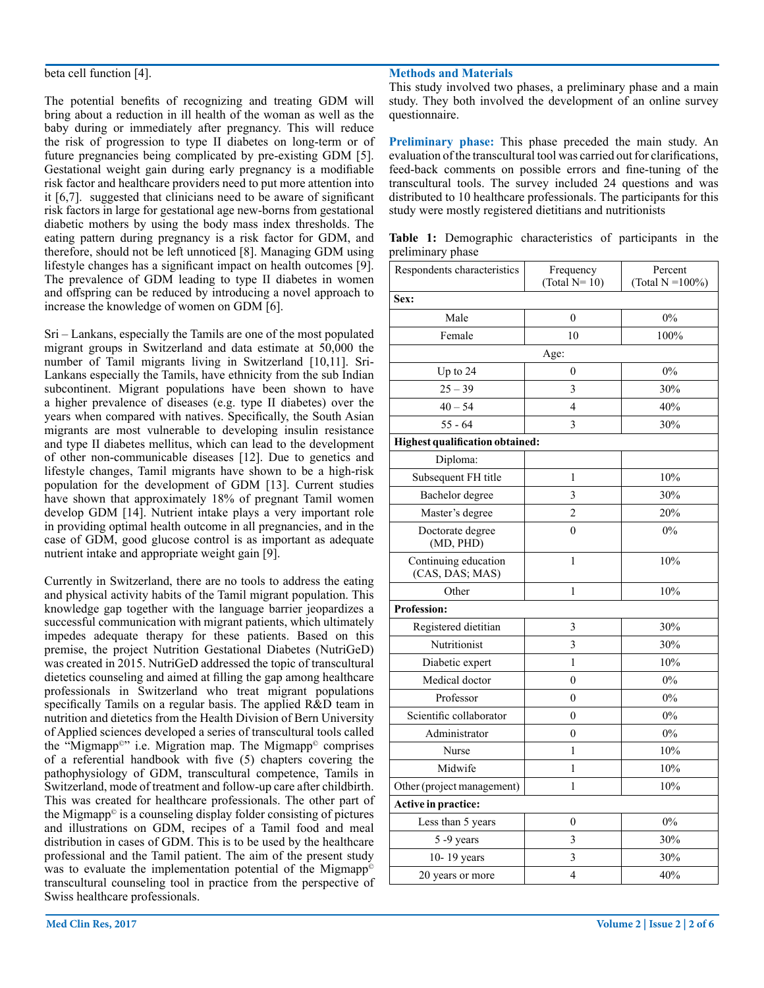#### beta cell function [4].

The potential benefits of recognizing and treating GDM will bring about a reduction in ill health of the woman as well as the baby during or immediately after pregnancy. This will reduce the risk of progression to type II diabetes on long-term or of future pregnancies being complicated by pre-existing GDM [5]. Gestational weight gain during early pregnancy is a modifiable risk factor and healthcare providers need to put more attention into it [6,7]. suggested that clinicians need to be aware of significant risk factors in large for gestational age new-borns from gestational diabetic mothers by using the body mass index thresholds. The eating pattern during pregnancy is a risk factor for GDM, and therefore, should not be left unnoticed [8]. Managing GDM using lifestyle changes has a significant impact on health outcomes [9]. The prevalence of GDM leading to type II diabetes in women and offspring can be reduced by introducing a novel approach to increase the knowledge of women on GDM [6].

Sri – Lankans, especially the Tamils are one of the most populated migrant groups in Switzerland and data estimate at 50,000 the number of Tamil migrants living in Switzerland [10,11]. Sri-Lankans especially the Tamils, have ethnicity from the sub Indian subcontinent. Migrant populations have been shown to have a higher prevalence of diseases (e.g. type II diabetes) over the years when compared with natives. Specifically, the South Asian migrants are most vulnerable to developing insulin resistance and type II diabetes mellitus, which can lead to the development of other non-communicable diseases [12]. Due to genetics and lifestyle changes, Tamil migrants have shown to be a high-risk population for the development of GDM [13]. Current studies have shown that approximately 18% of pregnant Tamil women develop GDM [14]. Nutrient intake plays a very important role in providing optimal health outcome in all pregnancies, and in the case of GDM, good glucose control is as important as adequate nutrient intake and appropriate weight gain [9].

Currently in Switzerland, there are no tools to address the eating and physical activity habits of the Tamil migrant population. This knowledge gap together with the language barrier jeopardizes a successful communication with migrant patients, which ultimately impedes adequate therapy for these patients. Based on this premise, the project Nutrition Gestational Diabetes (NutriGeD) was created in 2015. NutriGeD addressed the topic of transcultural dietetics counseling and aimed at filling the gap among healthcare professionals in Switzerland who treat migrant populations specifically Tamils on a regular basis. The applied R&D team in nutrition and dietetics from the Health Division of Bern University of Applied sciences developed a series of transcultural tools called the "Migmapp©" i.e. Migration map. The Migmapp© comprises of a referential handbook with five (5) chapters covering the pathophysiology of GDM, transcultural competence, Tamils in Switzerland, mode of treatment and follow-up care after childbirth. This was created for healthcare professionals. The other part of the Migmapp $\circ$  is a counseling display folder consisting of pictures and illustrations on GDM, recipes of a Tamil food and meal distribution in cases of GDM. This is to be used by the healthcare professional and the Tamil patient. The aim of the present study was to evaluate the implementation potential of the Migmapp<sup>©</sup> transcultural counseling tool in practice from the perspective of Swiss healthcare professionals.

#### **Methods and Materials**

This study involved two phases, a preliminary phase and a main study. They both involved the development of an online survey questionnaire.

**Preliminary phase:** This phase preceded the main study. An evaluation of the transcultural tool was carried out for clarifications, feed-back comments on possible errors and fine-tuning of the transcultural tools. The survey included 24 questions and was distributed to 10 healthcare professionals. The participants for this study were mostly registered dietitians and nutritionists

**Table 1:** Demographic characteristics of participants in the preliminary phase

| Respondents characteristics             | Frequency        |                                 |  |
|-----------------------------------------|------------------|---------------------------------|--|
|                                         | (Total $N=10$ )  | Percent<br>(Total $N = 100\%$ ) |  |
| Sex:                                    |                  |                                 |  |
| Male                                    | $\theta$         | 0%                              |  |
| Female                                  | 10               | 100%                            |  |
|                                         | Age:             |                                 |  |
| Up to 24                                | $\theta$         | 0%                              |  |
| $25 - 39$                               | 3                | 30%                             |  |
| $40 - 54$                               | 4                | 40%                             |  |
| $55 - 64$                               | 3                | 30%                             |  |
| <b>Highest qualification obtained:</b>  |                  |                                 |  |
| Diploma:                                |                  |                                 |  |
| Subsequent FH title                     | 1                | 10%                             |  |
| Bachelor degree                         | 3                | 30%                             |  |
| Master's degree                         | $\overline{c}$   | 20%                             |  |
| Doctorate degree<br>(MD, PHD)           | $\theta$         | 0%                              |  |
| Continuing education<br>(CAS, DAS; MAS) | $\mathbf{1}$     | 10%                             |  |
| Other                                   | $\mathbf{1}$     | 10%                             |  |
| <b>Profession:</b>                      |                  |                                 |  |
| Registered dietitian                    | 3                | 30%                             |  |
| Nutritionist                            | $\overline{3}$   | 30%                             |  |
| Diabetic expert                         | $\mathbf{1}$     | 10%                             |  |
| Medical doctor                          | $\boldsymbol{0}$ | 0%                              |  |
| Professor                               | 0                | $0\%$                           |  |
| Scientific collaborator                 | $\theta$         | 0%                              |  |
| Administrator                           | $\mathbf{0}$     | 0%                              |  |
| Nurse                                   | $\mathbf{1}$     | 10%                             |  |
| Midwife                                 | 1                | 10%                             |  |
| Other (project management)              | $\mathbf{1}$     | 10%                             |  |
| Active in practice:                     |                  |                                 |  |
| Less than 5 years                       | 0                | 0%                              |  |
| 5-9 years                               | 3                | 30%                             |  |
| 10-19 years                             | 3                | 30%                             |  |
| 20 years or more                        | 4                | 40%                             |  |
|                                         |                  |                                 |  |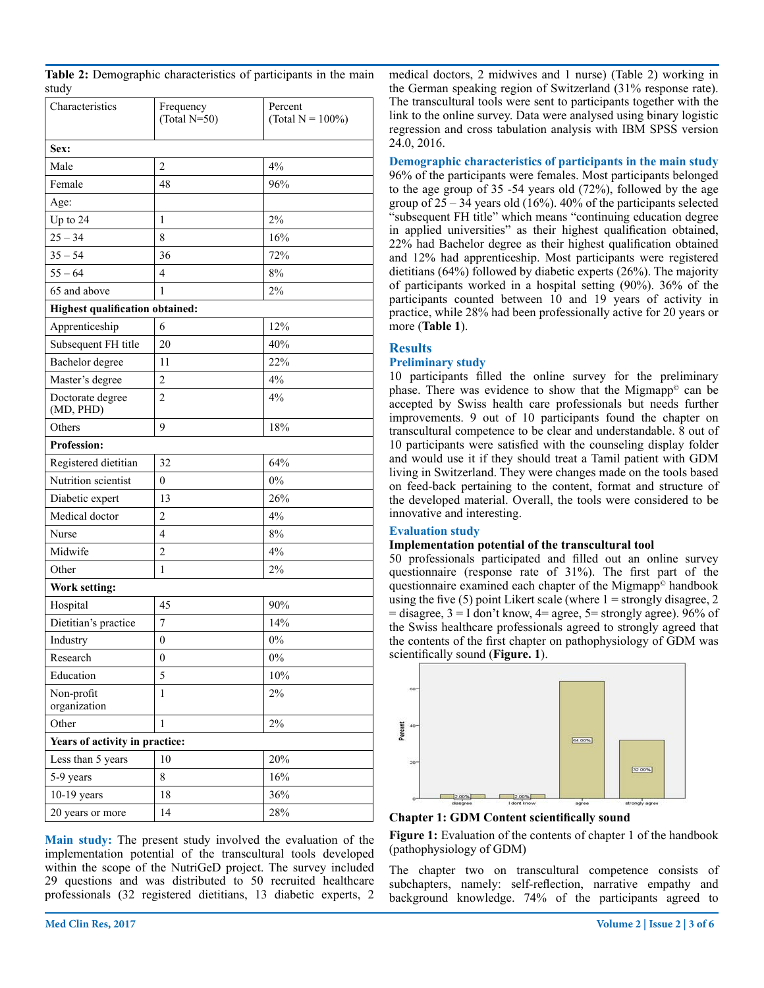|       |  | Table 2: Demographic characteristics of participants in the main |  |
|-------|--|------------------------------------------------------------------|--|
| study |  |                                                                  |  |

| Characteristics                        | Frequency<br>(Total $N=50$ ) | Percent<br>(Total $N = 100\%)$ |  |  |  |  |
|----------------------------------------|------------------------------|--------------------------------|--|--|--|--|
| Sex:                                   |                              |                                |  |  |  |  |
| Male                                   | $\overline{c}$               | $4\%$                          |  |  |  |  |
| Female                                 | 48                           | 96%                            |  |  |  |  |
| Age:                                   |                              |                                |  |  |  |  |
| Up to 24                               | 1                            | 2%                             |  |  |  |  |
| $25 - 34$                              | 8                            | 16%                            |  |  |  |  |
| $35 - 54$                              | 36                           | 72%                            |  |  |  |  |
| $55 - 64$                              | 4                            | 8%                             |  |  |  |  |
| 65 and above                           | $\mathbf{1}$                 | 2%                             |  |  |  |  |
| <b>Highest qualification obtained:</b> |                              |                                |  |  |  |  |
| Apprenticeship                         | 6                            | 12%                            |  |  |  |  |
| Subsequent FH title                    | 20                           | 40%                            |  |  |  |  |
| Bachelor degree                        | 11                           | 22%                            |  |  |  |  |
| Master's degree                        | $\overline{c}$               | 4%                             |  |  |  |  |
| Doctorate degree<br>(MD, PHD)          | 2                            | 4%                             |  |  |  |  |
| Others                                 | 9                            | 18%                            |  |  |  |  |
| <b>Profession:</b>                     |                              |                                |  |  |  |  |
| Registered dietitian                   | 32                           | 64%                            |  |  |  |  |
| Nutrition scientist                    | $\mathbf{0}$                 | 0%                             |  |  |  |  |
| Diabetic expert                        | 13                           | 26%                            |  |  |  |  |
| Medical doctor                         | $\overline{c}$               | 4%                             |  |  |  |  |
| Nurse                                  | 4                            | 8%                             |  |  |  |  |
| Midwife                                | $\overline{c}$               | 4%                             |  |  |  |  |
| Other                                  | 1                            | 2%                             |  |  |  |  |
| Work setting:                          |                              |                                |  |  |  |  |
| Hospital                               | 45                           | 90%                            |  |  |  |  |
| Dietitian's practice                   | 7                            | 14%                            |  |  |  |  |
| Industry                               | $\boldsymbol{0}$             | 0%                             |  |  |  |  |
| Research                               | $\boldsymbol{0}$             | $0\%$                          |  |  |  |  |
| Education                              | 5                            | 10%                            |  |  |  |  |
| Non-profit<br>organization             | 1                            | 2%                             |  |  |  |  |
| Other                                  | $\mathbf{1}$                 | $2\%$                          |  |  |  |  |
| Years of activity in practice:         |                              |                                |  |  |  |  |
| Less than 5 years                      | 10                           | 20%                            |  |  |  |  |
| 5-9 years                              | 8                            | 16%                            |  |  |  |  |
| $10-19$ years                          | 18                           | 36%                            |  |  |  |  |
| 20 years or more                       | 14                           | 28%                            |  |  |  |  |

**Main study:** The present study involved the evaluation of the implementation potential of the transcultural tools developed within the scope of the NutriGeD project. The survey included 29 questions and was distributed to 50 recruited healthcare professionals (32 registered dietitians, 13 diabetic experts, 2

medical doctors, 2 midwives and 1 nurse) (Table 2) working in the German speaking region of Switzerland (31% response rate). The transcultural tools were sent to participants together with the link to the online survey. Data were analysed using binary logistic regression and cross tabulation analysis with IBM SPSS version 24.0, 2016.

**Demographic characteristics of participants in the main study** 96% of the participants were females. Most participants belonged to the age group of 35 -54 years old (72%), followed by the age group of  $25 - 34$  years old (16%). 40% of the participants selected "subsequent FH title" which means "continuing education degree in applied universities" as their highest qualification obtained, 22% had Bachelor degree as their highest qualification obtained and 12% had apprenticeship. Most participants were registered dietitians (64%) followed by diabetic experts (26%). The majority of participants worked in a hospital setting (90%). 36% of the participants counted between 10 and 19 years of activity in practice, while 28% had been professionally active for 20 years or more (**Table 1**).

# **Results**

#### **Preliminary study**

10 participants filled the online survey for the preliminary phase. There was evidence to show that the Migmapp<sup>®</sup> can be accepted by Swiss health care professionals but needs further improvements. 9 out of 10 participants found the chapter on transcultural competence to be clear and understandable. 8 out of 10 participants were satisfied with the counseling display folder and would use it if they should treat a Tamil patient with GDM living in Switzerland. They were changes made on the tools based on feed-back pertaining to the content, format and structure of the developed material. Overall, the tools were considered to be innovative and interesting.

#### **Evaluation study**

# **Implementation potential of the transcultural tool**

50 professionals participated and filled out an online survey questionnaire (response rate of 31%). The first part of the questionnaire examined each chapter of the Migmapp© handbook using the five (5) point Likert scale (where  $1 =$  strongly disagree, 2  $=$  disagree,  $3 =$  I don't know,  $4 =$  agree,  $5 =$  strongly agree). 96% of the Swiss healthcare professionals agreed to strongly agreed that the contents of the first chapter on pathophysiology of GDM was scientifically sound (**Figure. 1**).



**Chapter 1: GDM Content scientifically sound**

**Figure 1:** Evaluation of the contents of chapter 1 of the handbook (pathophysiology of GDM)

The chapter two on transcultural competence consists of subchapters, namely: self-reflection, narrative empathy and background knowledge. 74% of the participants agreed to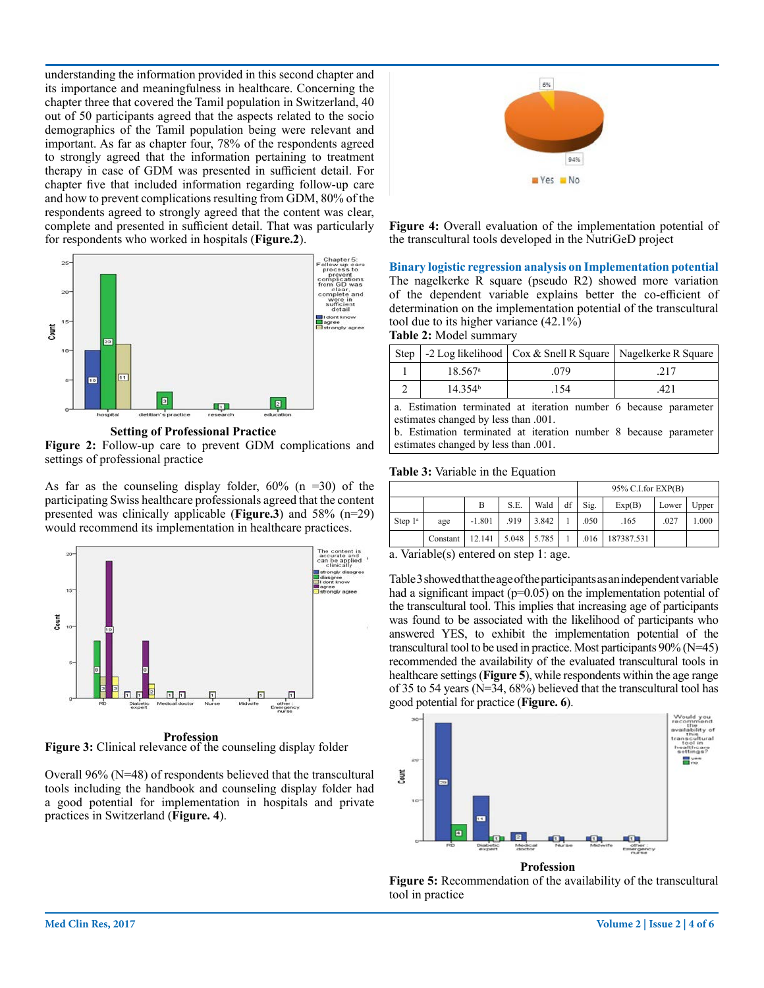understanding the information provided in this second chapter and its importance and meaningfulness in healthcare. Concerning the chapter three that covered the Tamil population in Switzerland, 40 out of 50 participants agreed that the aspects related to the socio demographics of the Tamil population being were relevant and important. As far as chapter four, 78% of the respondents agreed to strongly agreed that the information pertaining to treatment therapy in case of GDM was presented in sufficient detail. For chapter five that included information regarding follow-up care and how to prevent complications resulting from GDM, 80% of the respondents agreed to strongly agreed that the content was clear, complete and presented in sufficient detail. That was particularly for respondents who worked in hospitals (**Figure.2**).



**Setting of Professional Practice**

**Figure 2:** Follow-up care to prevent GDM complications and settings of professional practice

As far as the counseling display folder,  $60\%$  (n =30) of the participating Swiss healthcare professionals agreed that the content presented was clinically applicable (**Figure.3**) and 58% (n=29) would recommend its implementation in healthcare practices.



 **Profession**

**Figure 3:** Clinical relevance of the counseling display folder

Overall 96% (N=48) of respondents believed that the transcultural tools including the handbook and counseling display folder had a good potential for implementation in hospitals and private practices in Switzerland (**Figure. 4**).



**Figure 4:** Overall evaluation of the implementation potential of the transcultural tools developed in the NutriGeD project

**Binary logistic regression analysis on Implementation potential** The nagelkerke R square (pseudo R2) showed more variation of the dependent variable explains better the co-efficient of determination on the implementation potential of the transcultural tool due to its higher variance (42.1%) **Table 2:** Model summary

Step  $\vert$  -2 Log likelihood  $\vert$  Cox & Snell R Square  $\vert$  Nagelkerke R Square

|  |  | e Estimation terminated at iteration number 6 because normater |  |  |  |
|--|--|----------------------------------------------------------------|--|--|--|
|  |  |                                                                |  |  |  |
|  |  |                                                                |  |  |  |

a. Estimation terminated at iteration number 6 because parameter estimates changed by less than .001.

b. Estimation terminated at iteration number 8 because parameter estimates changed by less than .001.

#### **Table 3:** Variable in the Equation

|            |          |          |                 |       | $95\%$ C.I.for EXP(B) |      |            |       |       |
|------------|----------|----------|-----------------|-------|-----------------------|------|------------|-------|-------|
|            |          | B        | S.E.            | Wald  | df                    | Sig. | Exp(B)     | Lower | Upper |
| Step $1^a$ | age      | $-1.801$ | .919            | 3.842 |                       | .050 | .165       | .027  | 1.000 |
|            | Constant | 12.141   | $5.048$   5.785 |       |                       | .016 | 187387.531 |       |       |

a. Variable(s) entered on step 1: age.

Table 3 showed that the age of the participants as an independent variable had a significant impact ( $p=0.05$ ) on the implementation potential of the transcultural tool. This implies that increasing age of participants was found to be associated with the likelihood of participants who answered YES, to exhibit the implementation potential of the transcultural tool to be used in practice. Most participants 90% (N=45) recommended the availability of the evaluated transcultural tools in healthcare settings (**Figure 5**), while respondents within the age range of 35 to 54 years (N=34, 68%) believed that the transcultural tool has good potential for practice (**Figure. 6**).



**Profession**

**Figure 5:** Recommendation of the availability of the transcultural tool in practice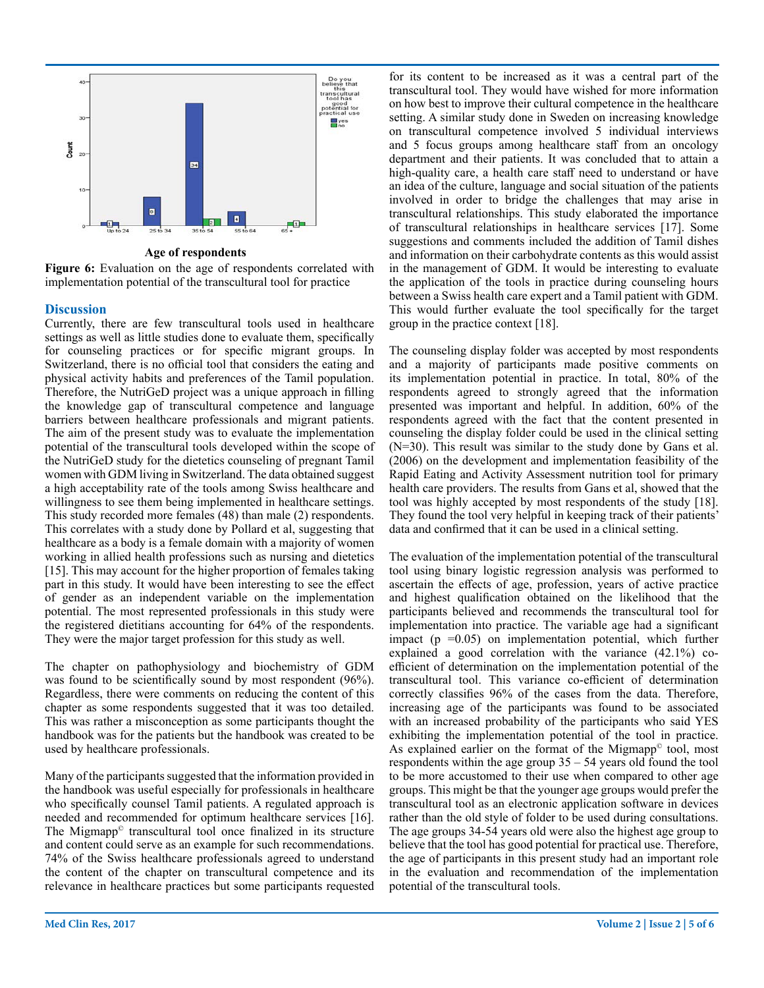

**Age of respondents**

**Figure 6:** Evaluation on the age of respondents correlated with implementation potential of the transcultural tool for practice

# **Discussion**

Currently, there are few transcultural tools used in healthcare settings as well as little studies done to evaluate them, specifically for counseling practices or for specific migrant groups. In Switzerland, there is no official tool that considers the eating and physical activity habits and preferences of the Tamil population. Therefore, the NutriGeD project was a unique approach in filling the knowledge gap of transcultural competence and language barriers between healthcare professionals and migrant patients. The aim of the present study was to evaluate the implementation potential of the transcultural tools developed within the scope of the NutriGeD study for the dietetics counseling of pregnant Tamil women with GDM living in Switzerland. The data obtained suggest a high acceptability rate of the tools among Swiss healthcare and willingness to see them being implemented in healthcare settings. This study recorded more females (48) than male (2) respondents. This correlates with a study done by Pollard et al, suggesting that healthcare as a body is a female domain with a majority of women working in allied health professions such as nursing and dietetics [15]. This may account for the higher proportion of females taking part in this study. It would have been interesting to see the effect of gender as an independent variable on the implementation potential. The most represented professionals in this study were the registered dietitians accounting for 64% of the respondents. They were the major target profession for this study as well.

The chapter on pathophysiology and biochemistry of GDM was found to be scientifically sound by most respondent (96%). Regardless, there were comments on reducing the content of this chapter as some respondents suggested that it was too detailed. This was rather a misconception as some participants thought the handbook was for the patients but the handbook was created to be used by healthcare professionals.

Many of the participants suggested that the information provided in the handbook was useful especially for professionals in healthcare who specifically counsel Tamil patients. A regulated approach is needed and recommended for optimum healthcare services [16]. The Migmapp<sup>®</sup> transcultural tool once finalized in its structure and content could serve as an example for such recommendations. 74% of the Swiss healthcare professionals agreed to understand the content of the chapter on transcultural competence and its relevance in healthcare practices but some participants requested

for its content to be increased as it was a central part of the transcultural tool. They would have wished for more information on how best to improve their cultural competence in the healthcare setting. A similar study done in Sweden on increasing knowledge on transcultural competence involved 5 individual interviews and 5 focus groups among healthcare staff from an oncology department and their patients. It was concluded that to attain a high-quality care, a health care staff need to understand or have an idea of the culture, language and social situation of the patients involved in order to bridge the challenges that may arise in transcultural relationships. This study elaborated the importance of transcultural relationships in healthcare services [17]. Some suggestions and comments included the addition of Tamil dishes and information on their carbohydrate contents as this would assist in the management of GDM. It would be interesting to evaluate the application of the tools in practice during counseling hours between a Swiss health care expert and a Tamil patient with GDM. This would further evaluate the tool specifically for the target group in the practice context [18].

The counseling display folder was accepted by most respondents and a majority of participants made positive comments on its implementation potential in practice. In total, 80% of the respondents agreed to strongly agreed that the information presented was important and helpful. In addition, 60% of the respondents agreed with the fact that the content presented in counseling the display folder could be used in the clinical setting (N=30). This result was similar to the study done by Gans et al. (2006) on the development and implementation feasibility of the Rapid Eating and Activity Assessment nutrition tool for primary health care providers. The results from Gans et al, showed that the tool was highly accepted by most respondents of the study [18]. They found the tool very helpful in keeping track of their patients' data and confirmed that it can be used in a clinical setting.

The evaluation of the implementation potential of the transcultural tool using binary logistic regression analysis was performed to ascertain the effects of age, profession, years of active practice and highest qualification obtained on the likelihood that the participants believed and recommends the transcultural tool for implementation into practice. The variable age had a significant impact ( $p = 0.05$ ) on implementation potential, which further explained a good correlation with the variance (42.1%) coefficient of determination on the implementation potential of the transcultural tool. This variance co-efficient of determination correctly classifies 96% of the cases from the data. Therefore, increasing age of the participants was found to be associated with an increased probability of the participants who said YES exhibiting the implementation potential of the tool in practice. As explained earlier on the format of the Migmapp<sup>®</sup> tool, most respondents within the age group  $35 - 54$  years old found the tool to be more accustomed to their use when compared to other age groups. This might be that the younger age groups would prefer the transcultural tool as an electronic application software in devices rather than the old style of folder to be used during consultations. The age groups 34-54 years old were also the highest age group to believe that the tool has good potential for practical use. Therefore, the age of participants in this present study had an important role in the evaluation and recommendation of the implementation potential of the transcultural tools.